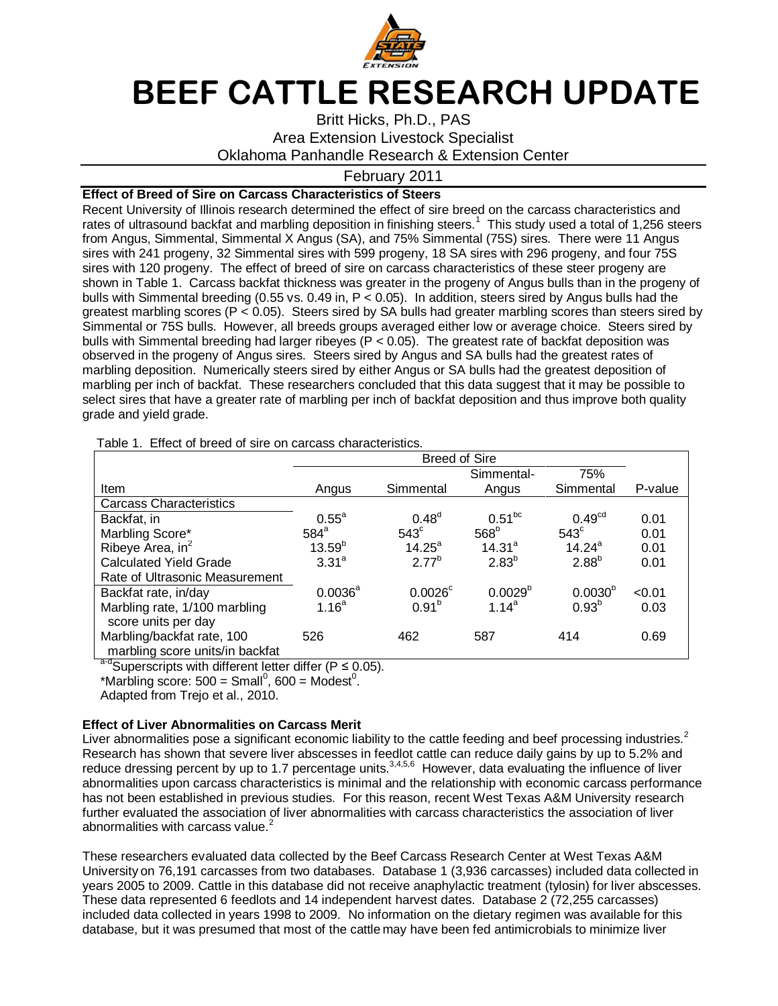

# **BEEF CATTLE RESEARCH UPDATE**

# Britt Hicks, Ph.D., PAS Area Extension Livestock Specialist Oklahoma Panhandle Research & Extension Center

# February 2011

# **Effect of Breed of Sire on Carcass Characteristics of Steers**

Recent University of Illinois research determined the effect of sire breed on the carcass characteristics and rates of ultrasound backfat and marbling deposition in finishing steers.<sup>1</sup> This study used a total of 1,256 steers from Angus, Simmental, Simmental X Angus (SA), and 75% Simmental (75S) sires. There were 11 Angus sires with 241 progeny, 32 Simmental sires with 599 progeny, 18 SA sires with 296 progeny, and four 75S sires with 120 progeny. The effect of breed of sire on carcass characteristics of these steer progeny are shown in Table 1. Carcass backfat thickness was greater in the progeny of Angus bulls than in the progeny of bulls with Simmental breeding (0.55 vs. 0.49 in, P < 0.05). In addition, steers sired by Angus bulls had the greatest marbling scores (P < 0.05). Steers sired by SA bulls had greater marbling scores than steers sired by Simmental or 75S bulls. However, all breeds groups averaged either low or average choice. Steers sired by bulls with Simmental breeding had larger ribeyes (P < 0.05). The greatest rate of backfat deposition was observed in the progeny of Angus sires. Steers sired by Angus and SA bulls had the greatest rates of marbling deposition. Numerically steers sired by either Angus or SA bulls had the greatest deposition of marbling per inch of backfat. These researchers concluded that this data suggest that it may be possible to select sires that have a greater rate of marbling per inch of backfat deposition and thus improve both quality grade and yield grade.

Table 1. Effect of breed of sire on carcass characteristics.

|                                                               | <b>Breed of Sire</b> |                       |                    |                    |         |
|---------------------------------------------------------------|----------------------|-----------------------|--------------------|--------------------|---------|
|                                                               |                      |                       | Simmental-         | 75%                |         |
| Item                                                          | Angus                | Simmental             | Angus              | Simmental          | P-value |
| <b>Carcass Characteristics</b>                                |                      |                       |                    |                    |         |
| Backfat, in                                                   | $0.55^a$             | 0.48 <sup>d</sup>     | $0.51^{bc}$        | 0.49 <sup>cd</sup> | 0.01    |
| Marbling Score*                                               | $584^{\circ}$        | $543^\circ$           | 568 <sup>b</sup>   | $543^\circ$        | 0.01    |
| Ribeye Area, in <sup>2</sup>                                  | $13.59^{b}$          | $14.25^{\circ}$       | 14.31 <sup>a</sup> | $14.24^{\circ}$    | 0.01    |
| <b>Calculated Yield Grade</b>                                 | 3.31 <sup>a</sup>    | $2.77^{b}$            | 2.83 <sup>b</sup>  | 2.88 <sup>b</sup>  | 0.01    |
| Rate of Ultrasonic Measurement                                |                      |                       |                    |                    |         |
| Backfat rate, in/day                                          | $0.0036^{\text{a}}$  | $0.0026$ <sup>c</sup> | $0.0029^{b}$       | $0.0030^{b}$       | < 0.01  |
| Marbling rate, 1/100 marbling<br>score units per day          | 1.16 <sup>a</sup>    | $0.91^{b}$            | $1.14^a$           | $0.93^{b}$         | 0.03    |
| Marbling/backfat rate, 100<br>marbling score units/in backfat | 526                  | 462                   | 587                | 414                | 0.69    |

 $a-d$ Superscripts with different letter differ (P  $\leq$  0.05).

\*Marbling score:  $500 = S$ mall<sup>0</sup>, 600 = Modest<sup>0</sup>.

Adapted from Trejo et al., 2010.

#### **Effect of Liver Abnormalities on Carcass Merit**

Liver abnormalities pose a significant economic liability to the cattle feeding and beef processing industries.<sup>2</sup> Research has shown that severe liver abscesses in feedlot cattle can reduce daily gains by up to 5.2% and reduce dressing percent by up to 1.7 percentage units.<sup>3,4,5,6</sup> However, data evaluating the influence of liver abnormalities upon carcass characteristics is minimal and the relationship with economic carcass performance has not been established in previous studies. For this reason, recent West Texas A&M University research further evaluated the association of liver abnormalities with carcass characteristics the association of liver abnormalities with carcass value.<sup>2</sup>

These researchers evaluated data collected by the Beef Carcass Research Center at West Texas A&M University on 76,191 carcasses from two databases. Database 1 (3,936 carcasses) included data collected in years 2005 to 2009. Cattle in this database did not receive anaphylactic treatment (tylosin) for liver abscesses. These data represented 6 feedlots and 14 independent harvest dates. Database 2 (72,255 carcasses) included data collected in years 1998 to 2009. No information on the dietary regimen was available for this database, but it was presumed that most of the cattle may have been fed antimicrobials to minimize liver